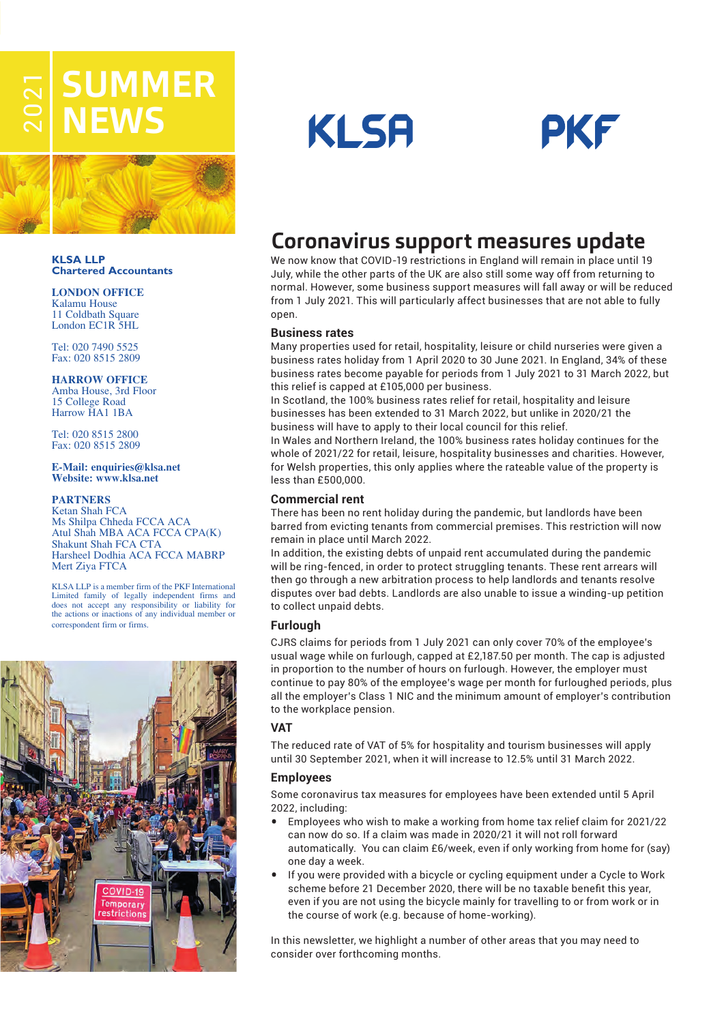# **EL SUMMER NEW**



#### **KLSA LLP Chartered Accountants**

### **LONDON OFFICE**

Kalamu House 11 Coldbath Square London EC1R 5HL

Tel: 020 7490 5525 Fax: 020 8515 2809

### **HARROW OFFICE**

Amba House, 3rd Floor 15 College Road Harrow HA1 1BA

Tel: 020 8515 2800 Fax: 020 8515 2809

#### **E-Mail: enquiries@klsa.net Website: www.klsa.net**

#### **PARTNERS**

Ketan Shah FCA Ms Shilpa Chheda FCCA ACA Atul Shah MBA ACA FCCA CPA(K) Shakunt Shah FCA CTA Harsheel Dodhia ACA FCCA MABRP Mert Ziya FTCA

KLSA LLP is a member firm of the PKF International Limited family of legally independent firms and does not accept any responsibility or liability for the actions or inactions of any individual member or correspondent firm or firms.







# **Coronavirus support measures update**

We now know that COVID-19 restrictions in England will remain in place until 19 July, while the other parts of the UK are also still some way off from returning to normal. However, some business support measures will fall away or will be reduced from 1 July 2021. This will particularly affect businesses that are not able to fully open.

### **Business rates**

Many properties used for retail, hospitality, leisure or child nurseries were given a business rates holiday from 1 April 2020 to 30 June 2021. In England, 34% of these business rates become payable for periods from 1 July 2021 to 31 March 2022, but this relief is capped at £105,000 per business.

In Scotland, the 100% business rates relief for retail, hospitality and leisure businesses has been extended to 31 March 2022, but unlike in 2020/21 the business will have to apply to their local council for this relief.

In Wales and Northern Ireland, the 100% business rates holiday continues for the whole of 2021/22 for retail, leisure, hospitality businesses and charities. However, for Welsh properties, this only applies where the rateable value of the property is less than £500,000.

### **Commercial rent**

There has been no rent holiday during the pandemic, but landlords have been barred from evicting tenants from commercial premises. This restriction will now remain in place until March 2022.

In addition, the existing debts of unpaid rent accumulated during the pandemic will be ring-fenced, in order to protect struggling tenants. These rent arrears will then go through a new arbitration process to help landlords and tenants resolve disputes over bad debts. Landlords are also unable to issue a winding-up petition to collect unpaid debts.

### **Furlough**

CJRS claims for periods from 1 July 2021 can only cover 70% of the employee's usual wage while on furlough, capped at £2,187.50 per month. The cap is adjusted in proportion to the number of hours on furlough. However, the employer must continue to pay 80% of the employee's wage per month for furloughed periods, plus all the employer's Class 1 NIC and the minimum amount of employer's contribution to the workplace pension.

### **VAT**

The reduced rate of VAT of 5% for hospitality and tourism businesses will apply until 30 September 2021, when it will increase to 12.5% until 31 March 2022.

### **Employees**

Some coronavirus tax measures for employees have been extended until 5 April 2022, including:

- Employees who wish to make a working from home tax relief claim for 2021/22 can now do so. If a claim was made in 2020/21 it will not roll forward automatically. You can claim £6/week, even if only working from home for (say) one day a week.
- If you were provided with a bicycle or cycling equipment under a Cycle to Work scheme before 21 December 2020, there will be no taxable benefit this year, even if you are not using the bicycle mainly for travelling to or from work or in the course of work (e.g. because of home-working).

In this newsletter, we highlight a number of other areas that you may need to consider over forthcoming months.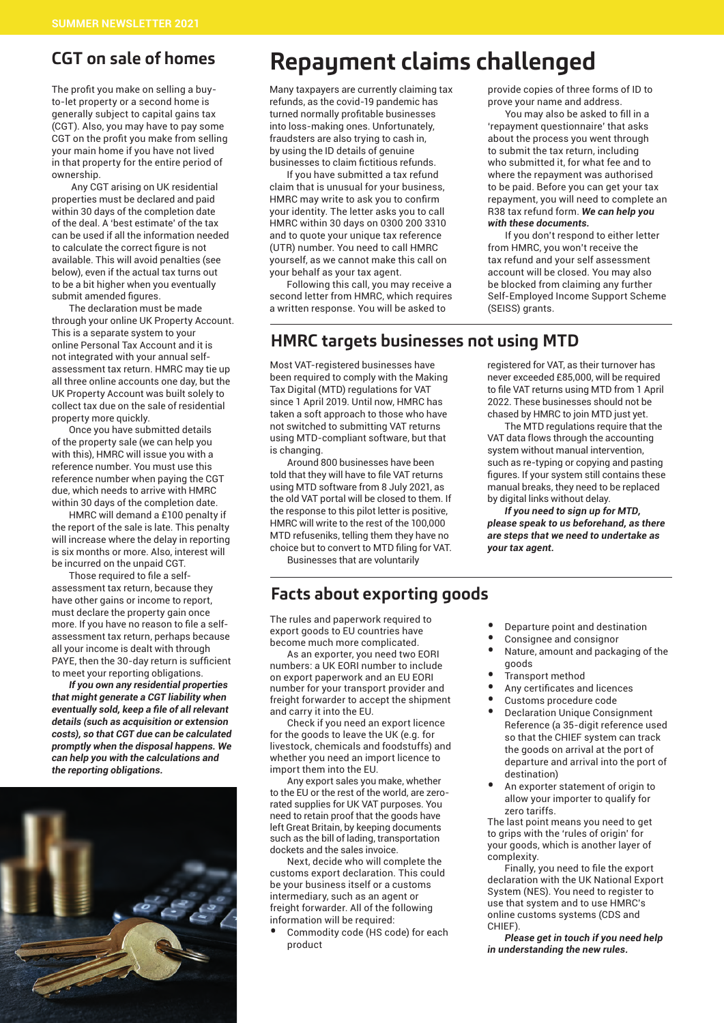# **CGT on sale of homes**

The profit you make on selling a buyto-let property or a second home is generally subject to capital gains tax (CGT). Also, you may have to pay some CGT on the profit you make from selling your main home if you have not lived in that property for the entire period of ownership.

 Any CGT arising on UK residential properties must be declared and paid within 30 days of the completion date of the deal. A 'best estimate' of the tax can be used if all the information needed to calculate the correct figure is not available. This will avoid penalties (see below), even if the actual tax turns out to be a bit higher when you eventually submit amended figures.

The declaration must be made through your online UK Property Account. This is a separate system to your online Personal Tax Account and it is not integrated with your annual selfassessment tax return. HMRC may tie up all three online accounts one day, but the UK Property Account was built solely to collect tax due on the sale of residential property more quickly.

Once you have submitted details of the property sale (we can help you with this), HMRC will issue you with a reference number. You must use this reference number when paying the CGT due, which needs to arrive with HMRC within 30 days of the completion date.

HMRC will demand a £100 penalty if the report of the sale is late. This penalty will increase where the delay in reporting is six months or more. Also, interest will be incurred on the unpaid CGT.

Those required to file a selfassessment tax return, because they have other gains or income to report, must declare the property gain once more. If you have no reason to file a selfassessment tax return, perhaps because all your income is dealt with through PAYE, then the 30-day return is sufficient to meet your reporting obligations.

*If you own any residential properties that might generate a CGT liability when eventually sold, keep a file of all relevant details (such as acquisition or extension costs), so that CGT due can be calculated promptly when the disposal happens. We can help you with the calculations and the reporting obligations.*



# **Repayment claims challenged**

Many taxpayers are currently claiming tax refunds, as the covid-19 pandemic has turned normally profitable businesses into loss-making ones. Unfortunately, fraudsters are also trying to cash in, by using the ID details of genuine businesses to claim fictitious refunds.

If you have submitted a tax refund claim that is unusual for your business, HMRC may write to ask you to confirm your identity. The letter asks you to call HMRC within 30 days on 0300 200 3310 and to quote your unique tax reference (UTR) number. You need to call HMRC yourself, as we cannot make this call on your behalf as your tax agent.

Following this call, you may receive a second letter from HMRC, which requires a written response. You will be asked to

### **HMRC targets businesses not using MTD**

Most VAT-registered businesses have been required to comply with the Making Tax Digital (MTD) regulations for VAT since 1 April 2019. Until now, HMRC has taken a soft approach to those who have not switched to submitting VAT returns using MTD-compliant software, but that is changing.

Around 800 businesses have been told that they will have to file VAT returns using MTD software from 8 July 2021, as the old VAT portal will be closed to them. If the response to this pilot letter is positive, HMRC will write to the rest of the 100,000 MTD refuseniks, telling them they have no choice but to convert to MTD filing for VAT.

Businesses that are voluntarily

### **Facts about exporting goods**

The rules and paperwork required to export goods to EU countries have become much more complicated.

As an exporter, you need two EORI numbers: a UK EORI number to include on export paperwork and an EU EORI number for your transport provider and freight forwarder to accept the shipment and carry it into the EU.

Check if you need an export licence for the goods to leave the UK (e.g. for livestock, chemicals and foodstuffs) and whether you need an import licence to import them into the EU.

Any export sales you make, whether to the EU or the rest of the world, are zerorated supplies for UK VAT purposes. You need to retain proof that the goods have left Great Britain, by keeping documents such as the bill of lading, transportation dockets and the sales invoice.

Next, decide who will complete the customs export declaration. This could be your business itself or a customs intermediary, such as an agent or freight forwarder. All of the following information will be required:

Commodity code (HS code) for each product

provide copies of three forms of ID to prove your name and address.

You may also be asked to fill in a 'repayment questionnaire' that asks about the process you went through to submit the tax return, including who submitted it, for what fee and to where the repayment was authorised to be paid. Before you can get your tax repayment, you will need to complete an R38 tax refund form. *We can help you with these documents.*

If you don't respond to either letter from HMRC, you won't receive the tax refund and your self assessment account will be closed. You may also be blocked from claiming any further Self-Employed Income Support Scheme (SEISS) grants.

registered for VAT, as their turnover has never exceeded £85,000, will be required to file VAT returns using MTD from 1 April 2022. These businesses should not be chased by HMRC to join MTD just yet.

The MTD regulations require that the VAT data flows through the accounting system without manual intervention, such as re-typing or copying and pasting figures. If your system still contains these manual breaks, they need to be replaced by digital links without delay.

*If you need to sign up for MTD, please speak to us beforehand, as there are steps that we need to undertake as your tax agent.*

- Departure point and destination
- Consignee and consignor
- Nature, amount and packaging of the goods
- Transport method
- Any certificates and licences
- Customs procedure code
- Declaration Unique Consignment Reference (a 35-digit reference used so that the CHIEF system can track the goods on arrival at the port of departure and arrival into the port of destination)
- An exporter statement of origin to allow your importer to qualify for zero tariffs.

The last point means you need to get to grips with the 'rules of origin' for your goods, which is another layer of complexity.

Finally, you need to file the export declaration with the UK National Export System (NES). You need to register to use that system and to use HMRC's online customs systems (CDS and CHIEF).

*Please get in touch if you need help in understanding the new rules.*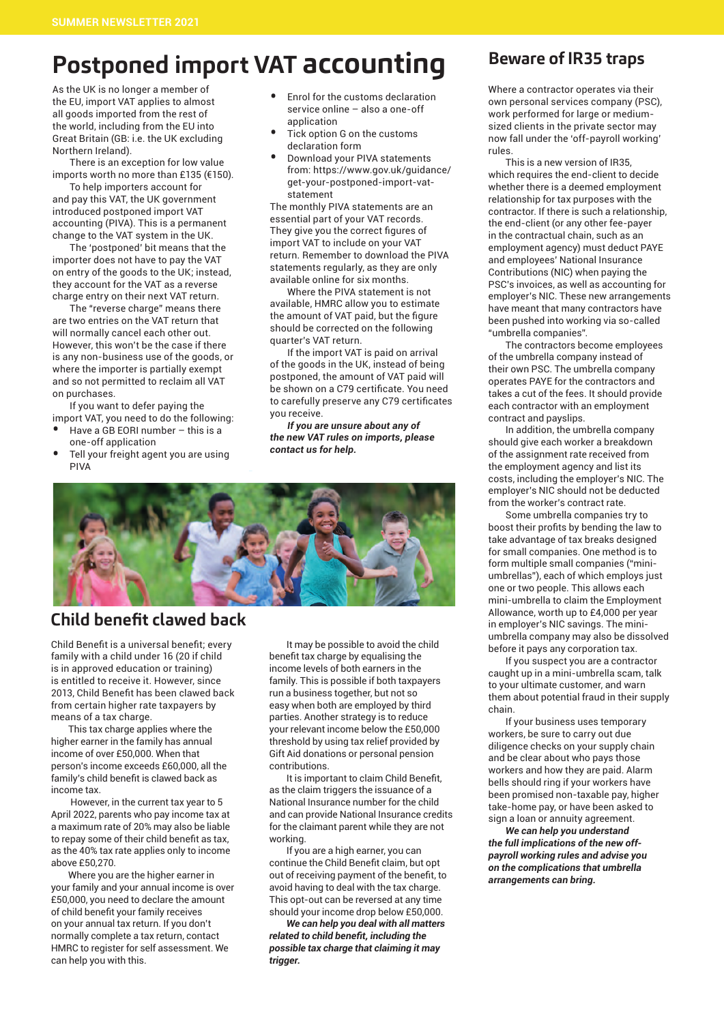# **Postponed import VAT accounting**

As the UK is no longer a member of the EU, import VAT applies to almost all goods imported from the rest of the world, including from the EU into Great Britain (GB: i.e. the UK excluding Northern Ireland).

There is an exception for low value imports worth no more than £135 (€150).

To help importers account for and pay this VAT, the UK government introduced postponed import VAT accounting (PIVA). This is a permanent change to the VAT system in the UK.

The 'postponed' bit means that the importer does not have to pay the VAT on entry of the goods to the UK; instead, they account for the VAT as a reverse charge entry on their next VAT return.

The "reverse charge" means there are two entries on the VAT return that will normally cancel each other out. However, this won't be the case if there is any non-business use of the goods, or where the importer is partially exempt and so not permitted to reclaim all VAT on purchases.

If you want to defer paying the import VAT, you need to do the following:

- Have a GB EORI number  $-$  this is a one-off application
- Tell your freight agent you are using PIVA
- Enrol for the customs declaration service online – also a one-off application
- <sup>T</sup>ick option G on the customs declaration form
- Download your PIVA statements from: https://www.gov.uk/guidance/ get-your-postponed-import-vatstatement

The monthly PIVA statements are an essential part of your VAT records. They give you the correct figures of import VAT to include on your VAT return. Remember to download the PIVA statements regularly, as they are only available online for six months.

Where the PIVA statement is not available, HMRC allow you to estimate the amount of VAT paid, but the figure should be corrected on the following quarter's VAT return.

If the import VAT is paid on arrival of the goods in the UK, instead of being postponed, the amount of VAT paid will be shown on a C79 certificate. You need to carefully preserve any C79 certificates you receive.

*If you are unsure about any of the new VAT rules on imports, please contact us for help.*



# **Child benefit clawed back**

Child Benefit is a universal benefit; every family with a child under 16 (20 if child is in approved education or training) is entitled to receive it. However, since 2013, Child Benefit has been clawed back from certain higher rate taxpayers by means of a tax charge.

This tax charge applies where the higher earner in the family has annual income of over £50,000. When that person's income exceeds £60,000, all the family's child benefit is clawed back as income tax.

 However, in the current tax year to 5 April 2022, parents who pay income tax at a maximum rate of 20% may also be liable to repay some of their child benefit as tax, as the 40% tax rate applies only to income above £50,270.

Where you are the higher earner in your family and your annual income is over £50,000, you need to declare the amount of child benefit your family receives on your annual tax return. If you don't normally complete a tax return, contact HMRC to register for self assessment. We can help you with this.

It may be possible to avoid the child benefit tax charge by equalising the income levels of both earners in the family. This is possible if both taxpayers run a business together, but not so easy when both are employed by third parties. Another strategy is to reduce your relevant income below the £50,000 threshold by using tax relief provided by Gift Aid donations or personal pension contributions.

It is important to claim Child Benefit, as the claim triggers the issuance of a National Insurance number for the child and can provide National Insurance credits for the claimant parent while they are not working.

If you are a high earner, you can continue the Child Benefit claim, but opt out of receiving payment of the benefit, to avoid having to deal with the tax charge. This opt-out can be reversed at any time should your income drop below £50,000.

*We can help you deal with all matters related to child benefit, including the possible tax charge that claiming it may trigger.*

# **Beware of IR35 traps**

Where a contractor operates via their own personal services company (PSC), work performed for large or mediumsized clients in the private sector may now fall under the 'off-payroll working' rules.

This is a new version of IR35, which requires the end-client to decide whether there is a deemed employment relationship for tax purposes with the contractor. If there is such a relationship, the end-client (or any other fee-payer in the contractual chain, such as an employment agency) must deduct PAYE and employees' National Insurance Contributions (NIC) when paying the PSC's invoices, as well as accounting for employer's NIC. These new arrangements have meant that many contractors have been pushed into working via so-called "umbrella companies".

The contractors become employees of the umbrella company instead of their own PSC. The umbrella company operates PAYE for the contractors and takes a cut of the fees. It should provide each contractor with an employment contract and payslips.

In addition, the umbrella company should give each worker a breakdown of the assignment rate received from the employment agency and list its costs, including the employer's NIC. The employer's NIC should not be deducted from the worker's contract rate.

Some umbrella companies try to boost their profits by bending the law to take advantage of tax breaks designed for small companies. One method is to form multiple small companies ("miniumbrellas"), each of which employs just one or two people. This allows each mini-umbrella to claim the Employment Allowance, worth up to £4,000 per year in employer's NIC savings. The miniumbrella company may also be dissolved before it pays any corporation tax.

If you suspect you are a contractor caught up in a mini-umbrella scam, talk to your ultimate customer, and warn them about potential fraud in their supply chain.

If your business uses temporary workers, be sure to carry out due diligence checks on your supply chain and be clear about who pays those workers and how they are paid. Alarm bells should ring if your workers have been promised non-taxable pay, higher take-home pay, or have been asked to sign a loan or annuity agreement.

*We can help you understand the full implications of the new offpayroll working rules and advise you on the complications that umbrella arrangements can bring.*